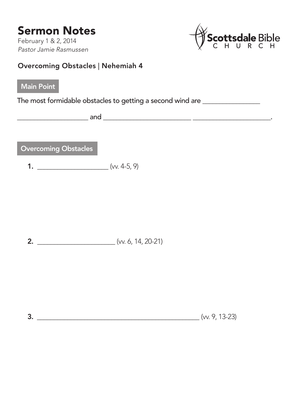## Sermon Notes

February 1 & 2, 2014 *Pastor Jamie Rasmussen*



## Overcoming Obstacles | Nehemiah 4

## Main Point

The most formidable obstacles to getting a second wind are \_\_\_\_\_\_\_\_\_\_\_\_\_\_\_\_\_\_\_\_\_

\_\_\_\_\_\_\_\_\_\_\_\_\_\_\_\_\_\_\_\_\_ and \_\_\_\_\_\_\_\_\_\_\_\_\_\_\_\_\_\_\_\_\_\_\_\_\_\_ \_\_\_\_\_\_\_\_\_\_\_\_\_\_\_\_\_\_\_\_\_\_\_.

Overcoming Obstacles

1.  $(w. 4-5, 9)$ 

**2.**  $\qquad \qquad \text{(w. 6, 14, 20-21)}$ 

3.  $(w, 9, 13-23)$